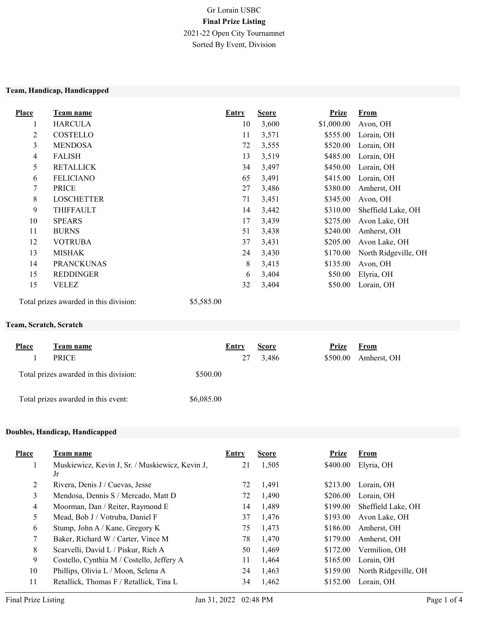# Gr Lorain USBC Final Prize Listing 2021-22 Open City Tournamnet Sorted By Event, Division

#### Team, Handicap, Handicapped

| <b>Place</b>   | <u>Team name</u>  | <b>Entry</b> | <b>Score</b> | <b>Prize</b> | <u>From</u>          |
|----------------|-------------------|--------------|--------------|--------------|----------------------|
|                | <b>HARCULA</b>    | 10           | 3,600        | \$1,000.00   | Avon, OH             |
| 2              | COSTELLO          | 11           | 3,571        | \$555.00     | Lorain, OH           |
| 3              | <b>MENDOSA</b>    | 72           | 3,555        | \$520.00     | Lorain, OH           |
| $\overline{4}$ | <b>FALISH</b>     | 13           | 3,519        | \$485.00     | Lorain, OH           |
| 5              | <b>RETALLICK</b>  | 34           | 3,497        | \$450.00     | Lorain, OH           |
| 6              | <b>FELICIANO</b>  | 65           | 3,491        | \$415.00     | Lorain, OH           |
| 7              | <b>PRICE</b>      | 27           | 3,486        | \$380.00     | Amherst, OH          |
| 8              | <b>LOSCHETTER</b> | 71           | 3,451        | \$345.00     | Avon, OH             |
| 9              | THIFFAULT         | 14           | 3,442        | \$310.00     | Sheffield Lake, OH   |
| 10             | <b>SPEARS</b>     | 17           | 3,439        | \$275.00     | Avon Lake, OH        |
| 11             | <b>BURNS</b>      | 51           | 3,438        | \$240.00     | Amherst, OH          |
| 12             | <b>VOTRUBA</b>    | 37           | 3,431        | \$205.00     | Avon Lake, OH        |
| 13             | MISHAK            | 24           | 3,430        | \$170.00     | North Ridgeville, OH |
| 14             | <b>PRANCKUNAS</b> | 8            | 3,415        | \$135.00     | Avon, OH             |
| 15             | <b>REDDINGER</b>  | 6            | 3,404        | \$50.00      | Elyria, OH           |
| 15             | VELEZ             | 32           | 3,404        | \$50.00      | Lorain, OH           |
|                |                   |              |              |              |                      |

Total prizes awarded in this division: \$5,585.00

### Team, Scratch, Scratch

| <b>Place</b> | Team name                              | Entry      | <b>Score</b> | <b>Prize</b> | <b>From</b> |
|--------------|----------------------------------------|------------|--------------|--------------|-------------|
|              | <b>PRICE</b>                           | 27         | 3,486        | \$500.00     | Amherst, OH |
|              | Total prizes awarded in this division: | \$500.00   |              |              |             |
|              | Total prizes awarded in this event:    | \$6,085.00 |              |              |             |

### Doubles, Handicap, Handicapped

| <b>Place</b> | Team name                                       | Entry | <b>Score</b> | <b>Prize</b> | From                 |
|--------------|-------------------------------------------------|-------|--------------|--------------|----------------------|
|              | Muskiewicz, Kevin J, Sr. / Muskiewicz, Kevin J, | 21    | 1,505        | \$400.00     | Elyria, OH           |
|              | Jr                                              |       |              |              |                      |
| 2            | Rivera, Denis J / Cuevas, Jesse                 | 72    | 1,491        | \$213.00     | Lorain. OH           |
| 3            | Mendosa, Dennis S / Mercado, Matt D             | 72    | 1,490        | \$206.00     | Lorain, OH           |
| 4            | Moorman, Dan / Reiter, Raymond E                | 14    | 1.489        | \$199.00     | Sheffield Lake, OH   |
| 5            | Mead, Bob J / Votruba, Daniel F                 | 37    | 1,476        | \$193.00     | Avon Lake, OH        |
| 6            | Stump, John A / Kane, Gregory K                 | 75    | 1,473        | \$186.00     | Amherst, OH          |
| 7            | Baker, Richard W / Carter, Vince M              | 78    | 1.470        | \$179.00     | Amherst, OH          |
| 8            | Scarvelli, David L / Piskur, Rich A             | 50    | 1.469        | \$172.00     | Vermilion, OH        |
| 9            | Costello, Cynthia M / Costello, Jeffery A       | 11    | 1,464        | \$165.00     | Lorain, OH           |
| 10           | Phillips, Olivia L / Moon, Selena A             | 24    | 1,463        | \$159.00     | North Ridgeville, OH |
| 11           | Retallick, Thomas F / Retallick, Tina L         | 34    | 1,462        | \$152.00     | Lorain, OH           |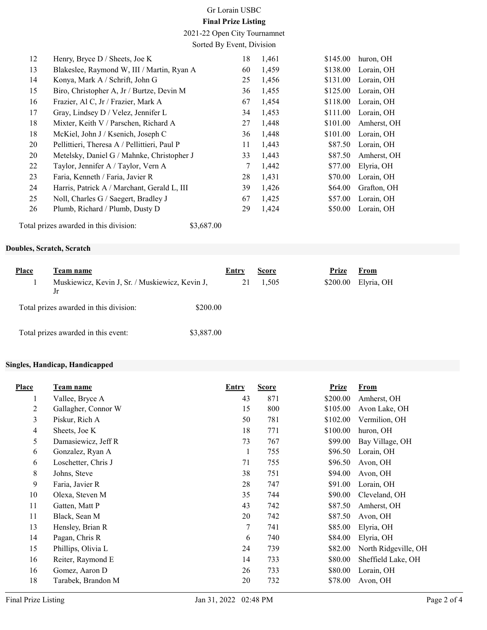# Gr Lorain USBC

### Final Prize Listing

2021-22 Open City Tournamnet Sorted By Event, Division

| 12 | Henry, Bryce $D /$ Sheets, Joe K             | 18 | 1,461 | \$145.00 | huron, OH   |
|----|----------------------------------------------|----|-------|----------|-------------|
| 13 | Blakeslee, Raymond W, III / Martin, Ryan A   | 60 | 1,459 | \$138.00 | Lorain, OH  |
| 14 | Konya, Mark A / Schrift, John G              | 25 | 1,456 | \$131.00 | Lorain, OH  |
| 15 | Biro, Christopher A, Jr / Burtze, Devin M    | 36 | 1,455 | \$125.00 | Lorain, OH  |
| 16 | Frazier, Al C, Jr / Frazier, Mark A          | 67 | 1,454 | \$118.00 | Lorain, OH  |
| 17 | Gray, Lindsey D / Velez, Jennifer L          | 34 | 1,453 | \$111.00 | Lorain, OH  |
| 18 | Mixter, Keith V / Parschen, Richard A        | 27 | 1,448 | \$101.00 | Amherst, OH |
| 18 | McKiel, John J / Ksenich, Joseph C           | 36 | 1,448 | \$101.00 | Lorain, OH  |
| 20 | Pellittieri, Theresa A / Pellittieri, Paul P | 11 | 1,443 | \$87.50  | Lorain, OH  |
| 20 | Metelsky, Daniel G / Mahnke, Christopher J   | 33 | 1,443 | \$87.50  | Amherst, OH |
| 22 | Taylor, Jennifer A / Taylor, Vern A          | 7  | 1,442 | \$77.00  | Elyria, OH  |
| 23 | Faria, Kenneth / Faria, Javier R             | 28 | 1,431 | \$70.00  | Lorain, OH  |
| 24 | Harris, Patrick A / Marchant, Gerald L, III  | 39 | 1,426 | \$64.00  | Grafton, OH |
| 25 | Noll, Charles G / Saegert, Bradley J         | 67 | 1,425 | \$57.00  | Lorain, OH  |
| 26 | Plumb, Richard / Plumb, Dusty D              | 29 | 1,424 | \$50.00  | Lorain, OH  |
|    |                                              |    |       |          |             |

Total prizes awarded in this division: \$3,687.00

Doubles, Scratch, Scratch

| Place | Team name                                             | <b>Entry</b> | <b>Score</b> | Prize<br>From          |
|-------|-------------------------------------------------------|--------------|--------------|------------------------|
|       | Muskiewicz, Kevin J, Sr. / Muskiewicz, Kevin J,<br>Jr |              | 1,505        | \$200.00<br>Elyria, OH |
|       | Total prizes awarded in this division:<br>\$200.00    |              |              |                        |
|       | Total prizes awarded in this event:<br>\$3,887.00     |              |              |                        |

### Singles, Handicap, Handicapped

| <b>Place</b>   | <b>Team name</b>    | Entry | <b>Score</b> | <b>Prize</b> | <b>From</b>          |
|----------------|---------------------|-------|--------------|--------------|----------------------|
| 1              | Vallee, Bryce A     | 43    | 871          | \$200.00     | Amherst, OH          |
| 2              | Gallagher, Connor W | 15    | 800          | \$105.00     | Avon Lake, OH        |
| 3              | Piskur, Rich A      | 50    | 781          | \$102.00     | Vermilion, OH        |
| $\overline{4}$ | Sheets, Joe K       | 18    | 771          | \$100.00     | huron, OH            |
| 5              | Damasiewicz, Jeff R | 73    | 767          | \$99.00      | Bay Village, OH      |
| 6              | Gonzalez, Ryan A    | 1     | 755          | \$96.50      | Lorain, OH           |
| 6              | Loschetter, Chris J | 71    | 755          | \$96.50      | Avon, OH             |
| 8              | Johns, Steve        | 38    | 751          | \$94.00      | Avon, OH             |
| 9              | Faria, Javier R     | 28    | 747          | \$91.00      | Lorain, OH           |
| 10             | Olexa, Steven M     | 35    | 744          | \$90.00      | Cleveland, OH        |
| 11             | Gatten, Matt P      | 43    | 742          | \$87.50      | Amherst, OH          |
| 11             | Black, Sean M       | 20    | 742          | \$87.50      | Avon, OH             |
| 13             | Hensley, Brian R    | 7     | 741          | \$85.00      | Elyria, OH           |
| 14             | Pagan, Chris R      | 6     | 740          | \$84.00      | Elyria, OH           |
| 15             | Phillips, Olivia L  | 24    | 739          | \$82.00      | North Ridgeville, OH |
| 16             | Reiter, Raymond E   | 14    | 733          | \$80.00      | Sheffield Lake, OH   |
| 16             | Gomez, Aaron D      | 26    | 733          | \$80.00      | Lorain, OH           |
| 18             | Tarabek, Brandon M  | 20    | 732          | \$78.00      | Avon, OH             |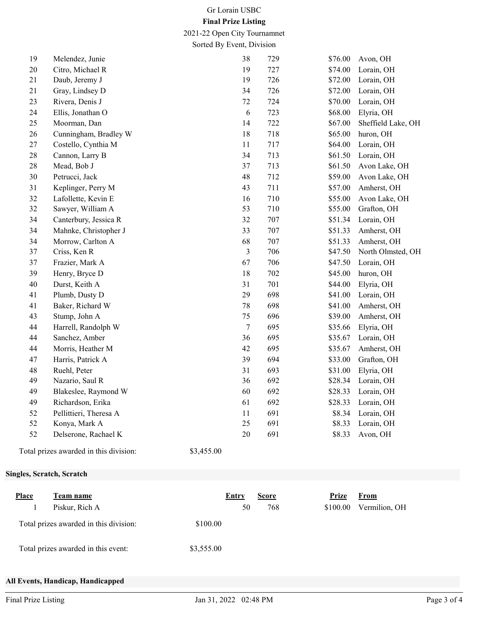### Gr Lorain USBC

### Final Prize Listing

2021-22 Open City Tournamnet Sorted By Event, Division

| 19 | Melendez, Junie        | 38               | 729 | \$76.00 | Avon, OH           |
|----|------------------------|------------------|-----|---------|--------------------|
| 20 | Citro, Michael R       | 19               | 727 | \$74.00 | Lorain, OH         |
| 21 | Daub, Jeremy J         | 19               | 726 | \$72.00 | Lorain, OH         |
| 21 | Gray, Lindsey D        | 34               | 726 | \$72.00 | Lorain, OH         |
| 23 | Rivera, Denis J        | 72               | 724 | \$70.00 | Lorain, OH         |
| 24 | Ellis, Jonathan O      | 6                | 723 | \$68.00 | Elyria, OH         |
| 25 | Moorman, Dan           | 14               | 722 | \$67.00 | Sheffield Lake, OH |
| 26 | Cunningham, Bradley W  | 18               | 718 | \$65.00 | huron, OH          |
| 27 | Costello, Cynthia M    | 11               | 717 | \$64.00 | Lorain, OH         |
| 28 | Cannon, Larry B        | 34               | 713 | \$61.50 | Lorain, OH         |
| 28 | Mead, Bob J            | 37               | 713 | \$61.50 | Avon Lake, OH      |
| 30 | Petrucci, Jack         | 48               | 712 | \$59.00 | Avon Lake, OH      |
| 31 | Keplinger, Perry M     | 43               | 711 | \$57.00 | Amherst, OH        |
| 32 | Lafollette, Kevin E    | 16               | 710 | \$55.00 | Avon Lake, OH      |
| 32 | Sawyer, William A      | 53               | 710 | \$55.00 | Grafton, OH        |
| 34 | Canterbury, Jessica R  | 32               | 707 | \$51.34 | Lorain, OH         |
| 34 | Mahnke, Christopher J  | 33               | 707 | \$51.33 | Amherst, OH        |
| 34 | Morrow, Carlton A      | 68               | 707 | \$51.33 | Amherst, OH        |
| 37 | Criss, Ken R           | 3                | 706 | \$47.50 | North Olmsted, OH  |
| 37 | Frazier, Mark A        | 67               | 706 | \$47.50 | Lorain, OH         |
| 39 | Henry, Bryce D         | 18               | 702 | \$45.00 | huron, OH          |
| 40 | Durst, Keith A         | 31               | 701 | \$44.00 | Elyria, OH         |
| 41 | Plumb, Dusty D         | 29               | 698 | \$41.00 | Lorain, OH         |
| 41 | Baker, Richard W       | 78               | 698 | \$41.00 | Amherst, OH        |
| 43 | Stump, John A          | 75               | 696 | \$39.00 | Amherst, OH        |
| 44 | Harrell, Randolph W    | $\boldsymbol{7}$ | 695 | \$35.66 | Elyria, OH         |
| 44 | Sanchez, Amber         | 36               | 695 | \$35.67 | Lorain, OH         |
| 44 | Morris, Heather M      | 42               | 695 | \$35.67 | Amherst, OH        |
| 47 | Harris, Patrick A      | 39               | 694 | \$33.00 | Grafton, OH        |
| 48 | Ruehl, Peter           | 31               | 693 | \$31.00 | Elyria, OH         |
| 49 | Nazario, Saul R        | 36               | 692 | \$28.34 | Lorain, OH         |
| 49 | Blakeslee, Raymond W   | 60               | 692 | \$28.33 | Lorain, OH         |
| 49 | Richardson, Erika      | 61               | 692 | \$28.33 | Lorain, OH         |
| 52 | Pellittieri, Theresa A | 11               | 691 | \$8.34  | Lorain, OH         |
| 52 | Konya, Mark A          | 25               | 691 | \$8.33  | Lorain, OH         |
| 52 | Delserone, Rachael K   | $20\,$           | 691 | \$8.33  | Avon, OH           |
|    |                        |                  |     |         |                    |

Total prizes awarded in this division: \$3,455.00

#### Singles, Scratch, Scratch

| <b>Place</b> | Team name<br>Piskur, Rich A            |            | Entry<br>50 | <b>Score</b><br>768 | Prize<br>\$100.00 | <b>From</b><br>Vermilion, OH |
|--------------|----------------------------------------|------------|-------------|---------------------|-------------------|------------------------------|
|              | Total prizes awarded in this division: | \$100.00   |             |                     |                   |                              |
|              | Total prizes awarded in this event:    | \$3,555.00 |             |                     |                   |                              |

### All Events, Handicap, Handicapped